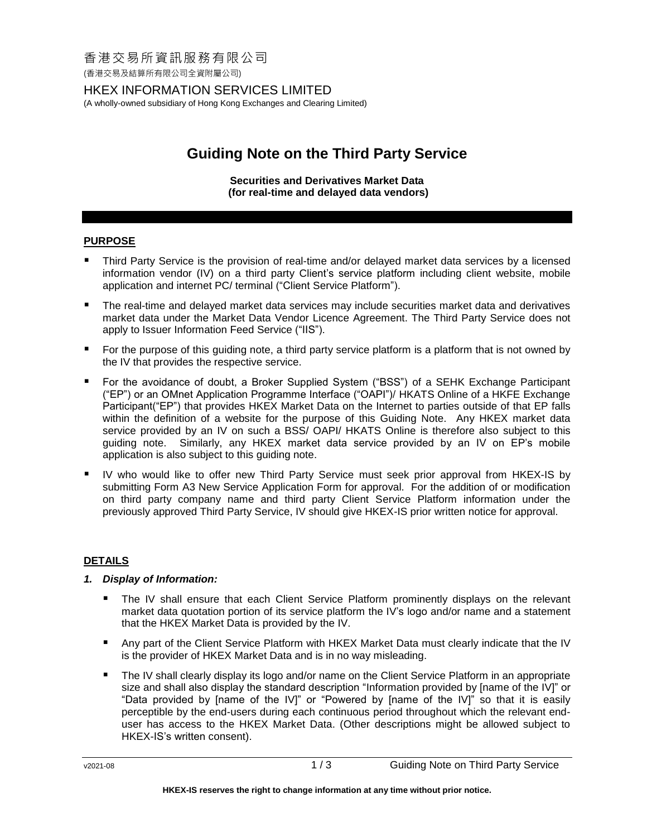# 香港交易所資訊服務有限公司

(香港交易及結算所有限公司全資附屬公司)

# HKEX INFORMATION SERVICES LIMITED

(A wholly-owned subsidiary of Hong Kong Exchanges and Clearing Limited)

# **Guiding Note on the Third Party Service**

#### **Securities and Derivatives Market Data (for real-time and delayed data vendors)**

## **PURPOSE**

- Third Party Service is the provision of real-time and/or delayed market data services by a licensed information vendor (IV) on a third party Client's service platform including client website, mobile application and internet PC/ terminal ("Client Service Platform").
- The real-time and delayed market data services may include securities market data and derivatives market data under the Market Data Vendor Licence Agreement. The Third Party Service does not apply to Issuer Information Feed Service ("IIS").
- For the purpose of this guiding note, a third party service platform is a platform that is not owned by the IV that provides the respective service.
- For the avoidance of doubt, a Broker Supplied System ("BSS") of a SEHK Exchange Participant ("EP") or an OMnet Application Programme Interface ("OAPI")/ HKATS Online of a HKFE Exchange Participant("EP") that provides HKEX Market Data on the Internet to parties outside of that EP falls within the definition of a website for the purpose of this Guiding Note. Any HKEX market data service provided by an IV on such a BSS/ OAPI/ HKATS Online is therefore also subject to this guiding note. Similarly, any HKEX market data service provided by an IV on EP's mobile application is also subject to this guiding note.
- IV who would like to offer new Third Party Service must seek prior approval from HKEX-IS by submitting Form A3 New Service Application Form for approval. For the addition of or modification on third party company name and third party Client Service Platform information under the previously approved Third Party Service, IV should give HKEX-IS prior written notice for approval.

## **DETAILS**

- *1. Display of Information:*
	- **The IV shall ensure that each Client Service Platform prominently displays on the relevant** market data quotation portion of its service platform the IV's logo and/or name and a statement that the HKEX Market Data is provided by the IV.
	- Any part of the Client Service Platform with HKEX Market Data must clearly indicate that the IV is the provider of HKEX Market Data and is in no way misleading.
	- The IV shall clearly display its logo and/or name on the Client Service Platform in an appropriate size and shall also display the standard description "Information provided by [name of the IV]" or "Data provided by [name of the IV]" or "Powered by [name of the IV]" so that it is easily perceptible by the end-users during each continuous period throughout which the relevant enduser has access to the HKEX Market Data. (Other descriptions might be allowed subject to HKEX-IS's written consent).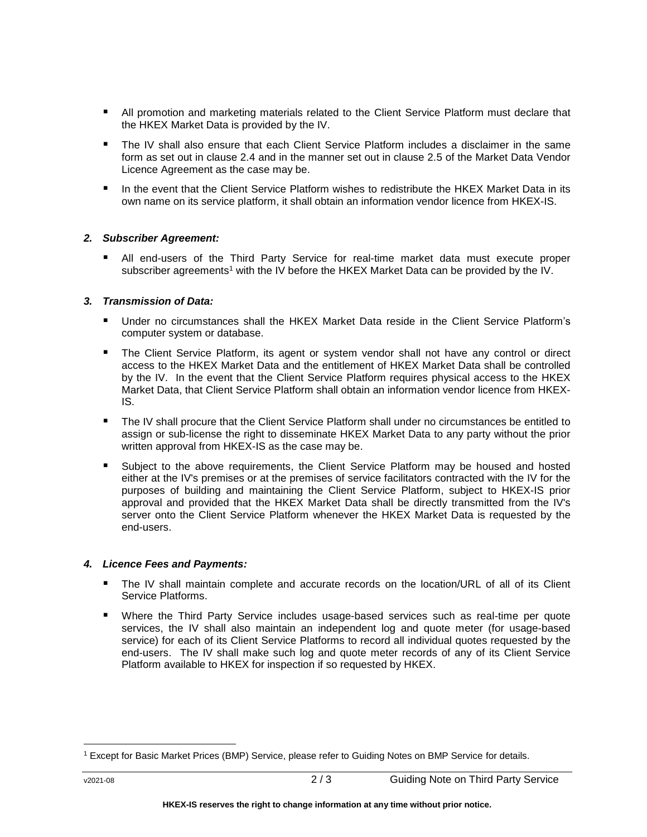- **All promotion and marketing materials related to the Client Service Platform must declare that** the HKEX Market Data is provided by the IV.
- The IV shall also ensure that each Client Service Platform includes a disclaimer in the same form as set out in clause 2.4 and in the manner set out in clause 2.5 of the Market Data Vendor Licence Agreement as the case may be.
- In the event that the Client Service Platform wishes to redistribute the HKEX Market Data in its own name on its service platform, it shall obtain an information vendor licence from HKEX-IS.

#### *2. Subscriber Agreement:*

 All end-users of the Third Party Service for real-time market data must execute proper subscriber agreements<sup>1</sup> with the IV before the HKEX Market Data can be provided by the IV.

#### *3. Transmission of Data:*

- Under no circumstances shall the HKEX Market Data reside in the Client Service Platform's computer system or database.
- **The Client Service Platform, its agent or system vendor shall not have any control or direct** access to the HKEX Market Data and the entitlement of HKEX Market Data shall be controlled by the IV. In the event that the Client Service Platform requires physical access to the HKEX Market Data, that Client Service Platform shall obtain an information vendor licence from HKEX-IS.
- The IV shall procure that the Client Service Platform shall under no circumstances be entitled to assign or sub-license the right to disseminate HKEX Market Data to any party without the prior written approval from HKEX-IS as the case may be.
- Subject to the above requirements, the Client Service Platform may be housed and hosted either at the IV's premises or at the premises of service facilitators contracted with the IV for the purposes of building and maintaining the Client Service Platform, subject to HKEX-IS prior approval and provided that the HKEX Market Data shall be directly transmitted from the IV's server onto the Client Service Platform whenever the HKEX Market Data is requested by the end-users.

#### *4. Licence Fees and Payments:*

- The IV shall maintain complete and accurate records on the location/URL of all of its Client Service Platforms.
- Where the Third Party Service includes usage-based services such as real-time per quote services, the IV shall also maintain an independent log and quote meter (for usage-based service) for each of its Client Service Platforms to record all individual quotes requested by the end-users. The IV shall make such log and quote meter records of any of its Client Service Platform available to HKEX for inspection if so requested by HKEX.

 $\overline{a}$ 

<sup>1</sup> Except for Basic Market Prices (BMP) Service, please refer to Guiding Notes on BMP Service for details.